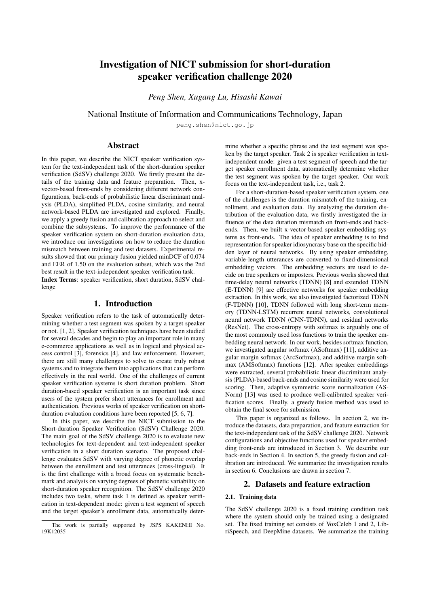# Investigation of NICT submission for short-duration speaker verification challenge 2020

*Peng Shen, Xugang Lu, Hisashi Kawai*

National Institute of Information and Communications Technology, Japan

peng.shen@nict.go.jp

# Abstract

In this paper, we describe the NICT speaker verification system for the text-independent task of the short-duration speaker verification (SdSV) challenge 2020. We firstly present the details of the training data and feature preparation. Then, xvector-based front-ends by considering different network configurations, back-ends of probabilistic linear discriminant analysis (PLDA), simplified PLDA, cosine similarity, and neural network-based PLDA are investigated and explored. Finally, we apply a greedy fusion and calibration approach to select and combine the subsystems. To improve the performance of the speaker verification system on short-duration evaluation data, we introduce our investigations on how to reduce the duration mismatch between training and test datasets. Experimental results showed that our primary fusion yielded minDCF of 0.074 and EER of 1.50 on the evaluation subset, which was the 2nd best result in the text-independent speaker verification task. Index Terms: speaker verification, short duration, SdSV challenge

## 1. Introduction

Speaker verification refers to the task of automatically determining whether a test segment was spoken by a target speaker or not. [1, 2]. Speaker verification techniques have been studied for several decades and begin to play an important role in many e-commerce applications as well as in logical and physical access control [3], forensics [4], and law enforcement. However, there are still many challenges to solve to create truly robust systems and to integrate them into applications that can perform effectively in the real world. One of the challenges of current speaker verification systems is short duration problem. Short duration-based speaker verification is an important task since users of the system prefer short utterances for enrollment and authentication. Previous works of speaker verification on shortduration evaluation conditions have been reported [5, 6, 7].

In this paper, we describe the NICT submission to the Short-duration Speaker Verification (SdSV) Challenge 2020. The main goal of the SdSV challenge 2020 is to evaluate new technologies for text-dependent and text-independent speaker verification in a short duration scenario. The proposed challenge evaluates SdSV with varying degree of phonetic overlap between the enrollment and test utterances (cross-lingual). It is the first challenge with a broad focus on systematic benchmark and analysis on varying degrees of phonetic variability on short-duration speaker recognition. The SdSV challenge 2020 includes two tasks, where task 1 is defined as speaker verification in text-dependent mode: given a test segment of speech and the target speaker's enrollment data, automatically determine whether a specific phrase and the test segment was spoken by the target speaker. Task 2 is speaker verification in textindependent mode: given a test segment of speech and the target speaker enrollment data, automatically determine whether the test segment was spoken by the target speaker. Our work focus on the text-independent task, i.e., task 2.

For a short-duration-based speaker verification system, one of the challenges is the duration mismatch of the training, enrollment, and evaluation data. By analyzing the duration distribution of the evaluation data, we firstly investigated the influence of the data duration mismatch on front-ends and backends. Then, we built x-vector-based speaker embedding systems as front-ends. The idea of speaker embedding is to find representation for speaker idiosyncrasy base on the specific hidden layer of neural networks. By using speaker embedding, variable-length utterances are converted to fixed-dimensional embedding vectors. The embedding vectors are used to decide on true speakers or imposters. Previous works showed that time-delay neural networks (TDNN) [8] and extended TDNN (E-TDNN) [9] are effective networks for speaker embedding extraction. In this work, we also investigated factorized TDNN (F-TDNN) [10], TDNN followed with long short-term memory (TDNN-LSTM) recurrent neural networks, convolutional neural network TDNN (CNN-TDNN), and residual networks (ResNet). The cross-entropy with softmax is arguably one of the most commonly used loss functions to train the speaker embedding neural network. In our work, besides softmax function, we investigated angular softmax (ASoftmax) [11], additive angular margin softmax (ArcSoftmax), and additive margin softmax (AMSoftmax) functions [12]. After speaker embeddings were extracted, several probabilistic linear discriminant analysis (PLDA)-based back-ends and cosine similarity were used for scoring. Then, adaptive symmetric score normalization (AS-Norm) [13] was used to produce well-calibrated speaker verification scores. Finally, a greedy fusion method was used to obtain the final score for submission.

This paper is organized as follows. In section 2, we introduce the datasets, data preparation, and feature extraction for the text-independent task of the SdSV challenge 2020. Network configurations and objective functions used for speaker embedding front-ends are introduced in Section 3. We describe our back-ends in Section 4. In section 5, the greedy fusion and calibration are introduced. We summarize the investigation results in section 6. Conclusions are drawn in section 7.

# 2. Datasets and feature extraction

### 2.1. Training data

The SdSV challenge 2020 is a fixed training condition task where the system should only be trained using a designated set. The fixed training set consists of VoxCeleb 1 and 2, LibriSpeech, and DeepMine datasets. We summarize the training

The work is partially supported by JSPS KAKENHI No. 19K12035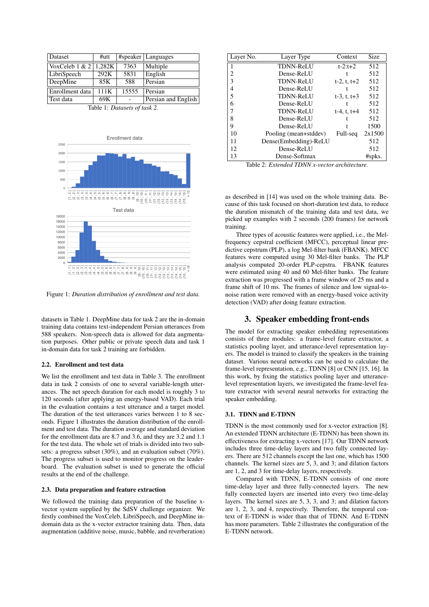| Dataset                   | $#$ utt |       | #speaker   Languages |
|---------------------------|---------|-------|----------------------|
| VoxCeleb $1 & 2   1,282K$ |         | 7363  | Multiple             |
| LibriSpeech               | 292K    | 5831  | English              |
| DeepMine                  | 85K     | 588   | Persian              |
| Enrollment data           | 111K    | 15555 | Persian              |
| Test data                 | 69K     |       | Persian and English  |

Table 1: *Datasets of task 2.*



Figure 1: *Duration distribution of enrollment and test data.*

datasets in Table 1. DeepMine data for task 2 are the in-domain training data contains text-independent Persian utterances from 588 speakers. Non-speech data is allowed for data augmentation purposes. Other public or private speech data and task 1 in-domain data for task 2 training are forbidden.

#### 2.2. Enrollment and test data

We list the enrollment and test data in Table 3. The enrollment data in task 2 consists of one to several variable-length utterances. The net speech duration for each model is roughly 3 to 120 seconds (after applying an energy-based VAD). Each trial in the evaluation contains a test utterance and a target model. The duration of the test utterances varies between 1 to 8 seconds. Figure 1 illustrates the duration distribution of the enrollment and test data. The duration average and standard deviation for the enrollment data are 8.7 and 3.6, and they are 3.2 and 1.1 for the test data. The whole set of trials is divided into two subsets: a progress subset (30%), and an evaluation subset (70%). The progress subset is used to monitor progress on the leaderboard. The evaluation subset is used to generate the official results at the end of the challenge.

#### 2.3. Data preparation and feature extraction

We followed the training data preparation of the baseline xvector system supplied by the SdSV challenge organizer. We firstly combined the VoxCeleb, LibriSpeech, and DeepMine indomain data as the x-vector extractor training data. Then, data augmentation (additive noise, music, babble, and reverberation)

| Layer No. | Layer Type            | Context        | Size   |
|-----------|-----------------------|----------------|--------|
|           | <b>TDNN-ReLU</b>      | $t - 2: t + 2$ | 512    |
| 2         | Dense-ReLU            |                | 512    |
| ٩         | <b>TDNN-ReLU</b>      | t-2, t, $t+2$  | 512    |
| 4         | Dense-ReLU            |                | 512    |
| 5         | <b>TDNN-ReLU</b>      | $t-3, t, t+3$  | 512    |
| 6         | Dense-ReLU            |                | 512    |
|           | <b>TDNN-ReLU</b>      | $t-4. t. t+4$  | 512    |
| 8         | Dense-ReLU            |                | 512    |
| 9         | Dense-ReLU            |                | 1500   |
| 10        | Pooling (mean+stddev) | Full-seq       | 2x1500 |
| 11        | Dense(Embedding)-ReLU |                | 512    |
| 12        | Dense-ReLU            |                | 512    |
| 13        | Dense-Softmax         |                | #spks. |

Table 2: *Extended TDNN x-vector architecture.*

as described in [14] was used on the whole training data. Because of this task focused on short-duration test data, to reduce the duration mismatch of the training data and test data, we picked up examples with 2 seconds (200 frames) for network training.

Three types of acoustic features were applied, i.e., the Melfrequency cepstral coefficient (MFCC), perceptual linear predictive cepstrum (PLP), a log Mel-filter bank (FBANK). MFCC features were computed using 30 Mel-filter banks. The PLP analysis computed 20-order PLP-cepstra. FBANK features were estimated using 40 and 60 Mel-filter banks. The feature extraction was progressed with a frame window of 25 ms and a frame shift of 10 ms. The frames of silence and low signal-tonoise ration were removed with an energy-based voice activity detection (VAD) after doing feature extraction.

### 3. Speaker embedding front-ends

The model for extracting speaker embedding representations consists of three modules: a frame-level feature extractor, a statistics pooling layer, and utterance-level representation layers. The model is trained to classify the speakers in the training dataset. Various neural networks can be used to calculate the frame-level representation, e.g., TDNN [8] or CNN [15, 16]. In this work, by fixing the statistics pooling layer and utterancelevel representation layers, we investigated the frame-level feature extractor with several neural networks for extracting the speaker embedding.

#### 3.1. TDNN and E-TDNN

TDNN is the most commonly used for x-vector extraction [8]. An extended TDNN architecture (E-TDNN) has been shown its effectiveness for extracting x-vectors [17]. Our TDNN network includes three time-delay layers and two fully connected layers. There are 512 channels except the last one, which has 1500 channels. The kernel sizes are 5, 3, and 3; and dilation factors are 1, 2, and 3 for time-delay layers, respectively.

Compared with TDNN, E-TDNN consists of one more time-delay layer and three fully-connected layers. The new fully connected layers are inserted into every two time-delay layers. The kernel sizes are 5, 3, 3, and 3; and dilation factors are 1, 2, 3, and 4, respectively. Therefore, the temporal context of E-TDNN is wider than that of TDNN. And E-TDNN has more parameters. Table 2 illustrates the configuration of the E-TDNN network.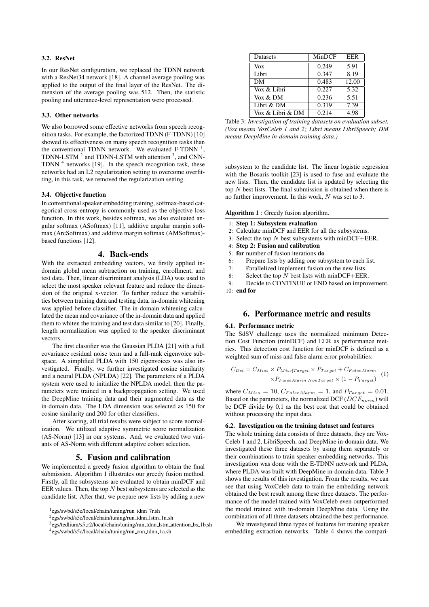#### 3.2. ResNet

In our ResNet configuration, we replaced the TDNN network with a ResNet34 network [18]. A channel average pooling was applied to the output of the final layer of the ResNet. The dimension of the average pooling was 512. Then, the statistic pooling and utterance-level representation were processed.

#### 3.3. Other networks

We also borrowed some effective networks from speech recognition tasks. For example, the factorized TDNN (F-TDNN) [10] showed its effectiveness on many speech recognition tasks than the conventional TDNN network. We evaluated F-TDNN  $<sup>1</sup>$ ,</sup> TDNN-LSTM  $^2$  and TDNN-LSTM with attention  $^3$ , and CNN-TDNN  $<sup>4</sup>$  networks [19]. In the speech recognition task, these</sup> networks had an L2 regularization setting to overcome overfitting, in this task, we removed the regularization setting.

#### 3.4. Objective function

In conventional speaker embedding training, softmax-based categorical cross-entropy is commonly used as the objective loss function. In this work, besides softmax, we also evaluated angular softmax (ASoftmax) [11], additive angular margin softmax (ArcSoftmax) and additive margin softmax (AMSoftmax) based functions [12].

#### 4. Back-ends

With the extracted embedding vectors, we firstly applied indomain global mean subtraction on training, enrollment, and test data. Then, linear discriminant analysis (LDA) was used to select the most speaker relevant feature and reduce the dimension of the original x-vector. To further reduce the variabilities between training data and testing data, in-domain whitening was applied before classifier. The in-domain whitening calculated the mean and covariance of the in-domain data and applied them to whiten the training and test data similar to [20]. Finally, length normalization was applied to the speaker discriminant vectors.

The first classifier was the Gaussian PLDA [21] with a full covariance residual noise term and a full-rank eigenvoice subspace. A simplified PLDA with 150 eigenvoices was also investigated. Finally, we further investigated cosine similarity and a neural PLDA (NPLDA) [22]. The parameters of a PLDA system were used to initialize the NPLDA model, then the parameters were trained in a backpropagation setting. We used the DeepMine training data and their augmented data as the in-domain data. The LDA dimension was selected as 150 for cosine similarity and 200 for other classifiers.

After scoring, all trial results were subject to score normalization. We utilized adaptive symmetric score normalization (AS-Norm) [13] in our systems. And, we evaluated two variants of AS-Norm with different adaptive cohort selection.

#### 5. Fusion and calibration

We implemented a greedy fusion algorithm to obtain the final submission. Algorithm 1 illustrates our greedy fusion method. Firstly, all the subsystems are evaluated to obtain minDCF and EER values. Then, the top  $N$  best subsystems are selected as the candidate list. After that, we prepare new lists by adding a new

| Datasets         | MinDCF | EER   |
|------------------|--------|-------|
| Vox              | 0.249  | 5.91  |
| Libri            | 0.347  | 8.19  |
| DM               | 0.483  | 12.00 |
| Vox & Libri      | 0.227  | 5.32  |
| Vox & DM         | 0.236  | 5.51  |
| Libri & DM       | 0.319  | 7.39  |
| Vox & Libri & DM | 0.214  | 4.98  |

Table 3: *Investigation of training datasets on evaluation subset. (Vox means VoxCeleb 1 and 2; Libri means LibriSpeech; DM means DeepMine in-domain training data.)*

subsystem to the candidate list. The linear logistic regression with the Bosaris toolkit [23] is used to fuse and evaluate the new lists. Then, the candidate list is updated by selecting the top  $N$  best lists. The final submission is obtained when there is no further improvement. In this work, N was set to 3.

Algorithm 1 : Greedy fusion algorithm.

- 1: Step 1: Subsystem evaluation
- 2: Calculate minDCF and EER for all the subsystems.
- 3: Select the top  $N$  best subsystems with minDCF+EER.
- 4: Step 2: Fusion and calibration
- 5: for number of fusion iterations do
- 6: Prepare lists by adding one subsystem to each list.
- 7: Parallelized implement fusion on the new lists.
- 8: Select the top  $N$  best lists with minDCF+EER.

9: Decide to CONTINUE or END based on improvement. 10: end for

# 6. Performance metric and results

#### 6.1. Performance metric

The SdSV challenge uses the normalized minimum Detection Cost Function (minDCF) and EER as performance metrics. This detection cost function for minDCF is defined as a weighted sum of miss and false alarm error probabilities:

$$
C_{Det} = C_{Miss} \times P_{Miss|Target} \times P_{Target} + C_{FalseAlarm}
$$

$$
\times P_{FalseAlarm|NonTarget} \times (1 - P_{Target})
$$
 (1)

where  $C_{Miss} = 10, C_{False: Alarm} = 1$ , and  $P_{Target} = 0.01$ . Based on the parameters, the normalized DCF ( $DCF_{norm}$ ) will be DCF divide by 0.1 as the best cost that could be obtained without processing the input data.

#### 6.2. Investigation on the training dataset and features

The whole training data consists of three datasets, they are Vox-Celeb 1 and 2, LibriSpeech, and DeepMine in-domain data. We investigated these three datasets by using them separately or their combinations to train speaker embedding networks. This investigation was done with the E-TDNN network and PLDA, where PLDA was built with DeepMine in-domain data. Table 3 shows the results of this investigation. From the results, we can see that using VoxCeleb data to train the embedding network obtained the best result among these three datasets. The performance of the model trained with VoxCeleb even outperformed the model trained with in-domain DeepMine data. Using the combination of all three datasets obtained the best performance.

We investigated three types of features for training speaker embedding extraction networks. Table 4 shows the compari-

<sup>&</sup>lt;sup>1</sup>egs/swbd/s5c/local/chain/tuning/run\_tdnn\_7r.sh

<sup>&</sup>lt;sup>2</sup>egs/swbd/s5c/local/chain/tuning/run\_tdnn\_lstm\_1n.sh

<sup>&</sup>lt;sup>3</sup>egs/tedlium/s5\_r2/local/chain/tuning/run\_tdnn\_lstm\_attention\_bs\_1b.sh 4 egs/swbd/s5c/local/chain/tuning/run cnn tdnn 1a.sh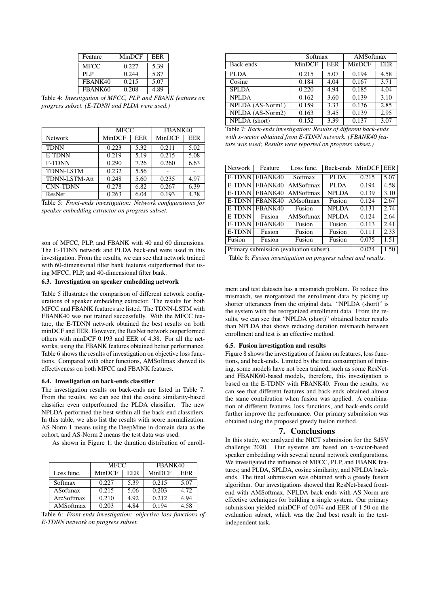| Feature     | MinDCF | EER  |
|-------------|--------|------|
| <b>MFCC</b> | 0.227  | 5.39 |
| PL P        | 0.244  | 5.87 |
| FBANK40     | 0.215  | 5.07 |
| FBANK60     | 0.208  | 4.89 |

Table 4: *Investigation of MFCC, PLP and FBANK features on progress subset. (E-TDNN and PLDA were used.)*

|                      | <b>MFCC</b> |      | FBANK40 |      |
|----------------------|-------------|------|---------|------|
| Network              | MinDCF      | EER  | MinDCF  | EER  |
| <b>TDNN</b>          | 0.223       | 5.32 | 0.211   | 5.02 |
| <b>E-TDNN</b>        | 0.219       | 5.19 | 0.215   | 5.08 |
| <b>F-TDNN</b>        | 0.290       | 7.26 | 0.260   | 6.63 |
| <b>TDNN-LSTM</b>     | 0.232       | 5.56 |         |      |
| <b>TDNN-LSTM-Att</b> | 0.248       | 5.60 | 0.235   | 4.97 |
| <b>CNN-TDNN</b>      | 0.278       | 6.82 | 0.267   | 6.39 |
| ResNet               | 0.263       | 6.04 | 0.193   | 4.38 |



son of MFCC, PLP, and FBANK with 40 and 60 dimensions. The E-TDNN network and PLDA back-end were used in this investigation. From the results, we can see that network trained with 60-dimensional filter bank features outperformed that using MFCC, PLP, and 40-dimensional filter bank.

### 6.3. Investigation on speaker embedding network

Table 5 illustrates the comparison of different network configurations of speaker embedding extractor. The results for both MFCC and FBANK features are listed. The TDNN-LSTM with FBANK40 was not trained successfully. With the MFCC feature, the E-TDNN network obtained the best results on both minDCF and EER. However, the ResNet network outperformed others with minDCF 0.193 and EER of 4.38. For all the networks, using the FBANK features obtained better performance. Table 6 shows the results of investigation on objective loss functions. Compared with other functions, AMSoftmax showed its effectiveness on both MFCC and FBANK features.

#### 6.4. Investigation on back-ends classifier

The investigation results on back-ends are listed in Table 7. From the results, we can see that the cosine similarity-based classifier even outperformed the PLDA classifier. The new NPLDA performed the best within all the back-end classifiers. In this table, we also list the results with score normalization. AS-Norm 1 means using the DeepMine in-domain data as the cohort, and AS-Norm 2 means the test data was used.

As shown in Figure 1, the duration distribution of enroll-

|            | <b>MFCC</b> |      | FBANK40 |      |
|------------|-------------|------|---------|------|
| Loss func. | MinDCF      | EER  | MinDCF  | EER  |
| Softmax    | 0.227       | 5.39 | 0.215   | 5.07 |
| ASoftmax   | 0.215       | 5.06 | 0.203   | 4.72 |
| ArcSoftmax | 0.210       | 4.92 | 0.212   | 4.94 |
| AMSoftmax  | 0.203       | 4.84 | 0.194   | 4.58 |

Table 6: *Front-ends investigation: objective loss functions of E-TDNN network on progress subset.*

|        |      | AMSoftmax |      |  |  |
|--------|------|-----------|------|--|--|
| MinDCF | EER  | MinDCF    | EER  |  |  |
| 0.215  | 5.07 | 0.194     | 4.58 |  |  |
| 0.184  | 4.04 | 0.167     | 3.71 |  |  |
| 0.220  | 4.94 | 0.185     | 4.04 |  |  |
| 0.162  | 3.60 | 0.139     | 3.10 |  |  |
| 0.159  | 3.33 | 0.136     | 2.85 |  |  |
| 0.163  | 3.45 | 0.139     | 2.95 |  |  |
| 0.152  | 3.39 | 0.137     | 3.07 |  |  |
|        |      | Softmax   |      |  |  |

Table 7: *Back-ends investigation: Results of different back-ends with x-vector obtained from E-TDNN network. (FBANK40 feature was used; Results were reported on progress subset.)*

| Network                                | Feature        | Loss func. | Back-ends    | MinDCF | EER  |
|----------------------------------------|----------------|------------|--------------|--------|------|
|                                        | E-TDNN FBANK40 | Softmax    | <b>PLDA</b>  | 0.215  | 5.07 |
| E-TDNN                                 | FBANK40        | AMSoftmax  | <b>PLDA</b>  | 0.194  | 4.58 |
| E-TDNN                                 | FBANK40        | AMSoftmax  | <b>NPLDA</b> | 0.139  | 3.10 |
| E-TDNN                                 | FBANK40        | AMsoftmax  | Fusion       | 0.124  | 2.67 |
| <b>E-TDNN</b>                          | FBANK40        | Fusion     | <b>NPLDA</b> | 0.131  | 2.74 |
| <b>E-TDNN</b>                          | Fusion         | AMSoftmax  | <b>NPLDA</b> | 0.124  | 2.64 |
| <b>E-TDNN</b>                          | FBANK40        | Fusion     | Fusion       | 0.113  | 2.41 |
| <b>E-TDNN</b>                          | Fusion         | Fusion     | Fusion       | 0.111  | 2.33 |
| Fusion                                 | Fusion         | Fusion     | Fusion       | 0.075  | 1.51 |
| Primary submission (evaluation subset) |                |            |              | 0.074  | 1.50 |

Table 8: *Fusion investigation on progress subset and results.*

ment and test datasets has a mismatch problem. To reduce this mismatch, we reorganized the enrollment data by picking up shorter utterances from the original data. "NPLDA (short)" is the system with the reorganized enrollment data. From the results, we can see that "NPLDA (short)" obtained better results than NPLDA that shows reducing duration mismatch between enrollment and test is an effective method.

### 6.5. Fusion investigation and results

Figure 8 shows the investigation of fusion on features, loss functions, and back-ends. Limited by the time consumption of training, some models have not been trained, such as some ResNetand FBANK60-based models, therefore, this investigation is based on the E-TDNN with FBANK40. From the results, we can see that different features and back-ends obtained almost the same contribution when fusion was applied. A combination of different features, loss functions, and back-ends could further improve the performance. Our primary submission was obtained using the proposed greedy fusion method.

# 7. Conclusions

In this study, we analyzed the NICT submission for the SdSV challenge 2020. Our systems are based on x-vector-based speaker embedding with several neural network configurations. We investigated the influence of MFCC, PLP, and FBANK features; and PLDA, SPLDA, cosine similarity, and NPLDA backends. The final submission was obtained with a greedy fusion algorithm. Our investigations showed that ResNet-based frontend with AMSoftmax, NPLDA back-ends with AS-Norm are effective techniques for building a single system. Our primary submission yielded minDCF of 0.074 and EER of 1.50 on the evaluation subset, which was the 2nd best result in the textindependent task.